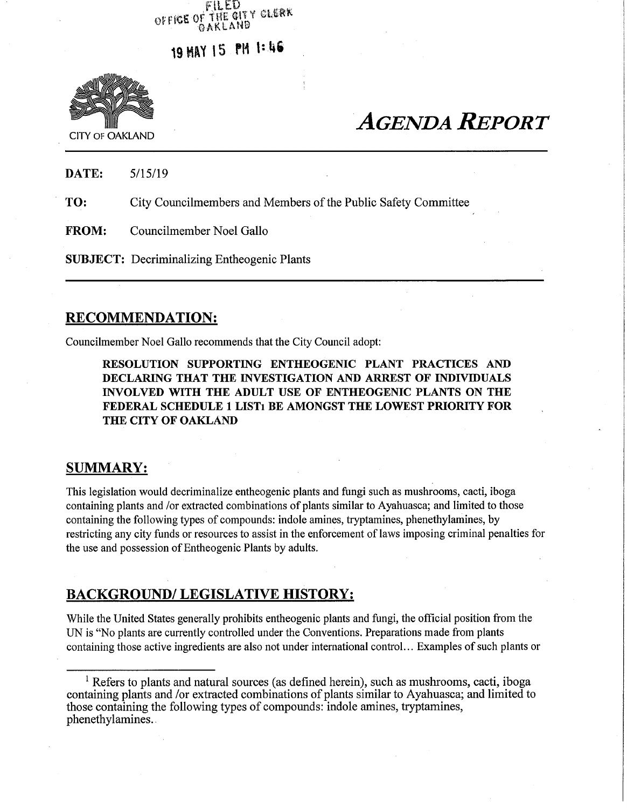**THE OITY CLERK** OFFICE OF

**<sup>19</sup> MH <sup>15</sup> fH MS**



# *AGENDA REPORT* CITY OF OAKLAND

**DATE:** 5/15/19 **TO:** City Councilmembers and Members of the Public Safety Committee **FROM:** Councilmember Noel Gallo

**SUBJECT:** Decriminalizing Entheogenic Plants

## RECOMMENDATION:

Councilmember Noel Gallo recommends that the City Council adopt:

**RESOLUTION SUPPORTING ENTHEOGENIC PLANT PRACTICES AND DECLARING THAT THE INVESTIGATION AND ARREST OF INDIVIDUALS INVOLVED WITH THE ADULT USE OF ENTHEOGENIC PLANTS ON THE FEDERAL SCHEDULE 1 LISTi BE AMONGST THE LOWEST PRIORITY FOR THE CITY OF OAKLAND**

## SUMMARY:

This legislation would decriminalize entheogenic plants and fungi such as mushrooms, cacti, iboga containing plants and /or extracted combinations of plants similar to Ayahuasca; and limited to those containing the following types of compounds: indole amines, tryptamines, phenethylamines, by restricting any city funds or resources to assist in the enforcement of laws imposing criminal penalties for the use and possession of Entheogenic Plants by adults.

## BACKGROUND/ LEGISLATIVE HISTORY:

While the United States generally prohibits entheogenic plants and fungi, the official position from the UN is "No plants are currently controlled under the Conventions. Preparations made from plants containing those active ingredients are also not under international control... Examples of such plants or

**<sup>l</sup>** Refers to plants and natural sources (as defined herein), such as mushrooms, cacti, iboga containing plants and /or extracted combinations of plants similar to Ayahuasca; and limited to those containing the following types of compounds: indole amines, tryptamines, phenethylamines.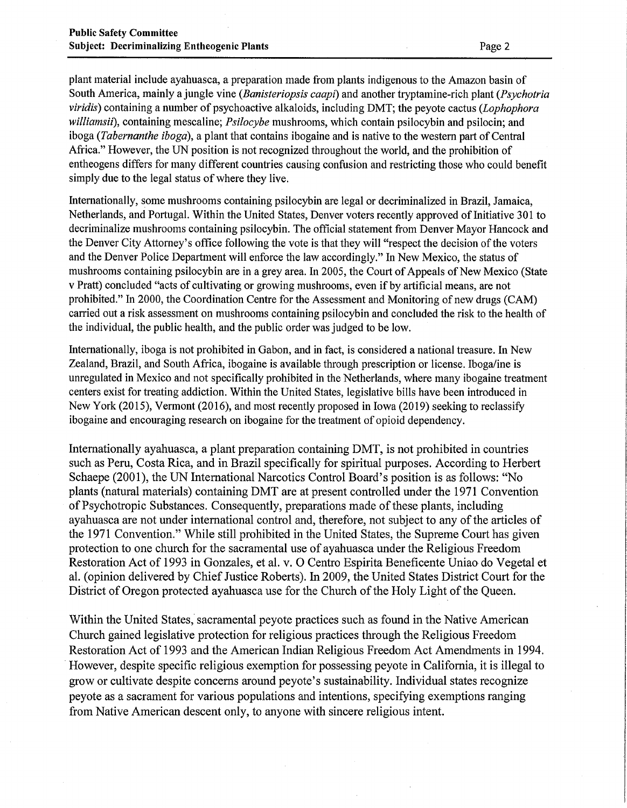plant material include ayahuasca, a preparation made from plants indigenous to the Amazon basin of South America, mainly a jungle vine (*Banisteriopsis caapi*) and another tryptamine-rich plant (*Psychotria viridis)* containing a number of psychoactive alkaloids, including DMT; the peyote cactus (*Lophophora williamsii),* containing mescaline; *Psilocybe* mushrooms, which contain psilocybin and psilocin; and iboga (*Tabernanthe iboga*), a plant that contains ibogaine and is native to the western part of Central Africa." However, the UN position is not recognized throughout the world, and the prohibition of entheogens differs for many different countries causing confusion and restricting those who could benefit simply due to the legal status of where they live.

Internationally, some mushrooms containing psilocybin are legal or decriminalized in Brazil, Jamaica, Netherlands, and Portugal. Within the United States, Denver voters recently approved of Initiative 301 to decriminalize mushrooms containing psilocybin. The official statement from Denver Mayor Hancock and the Denver City Attorney's office following the vote is that they will "respect the decision of the voters and the Denver Police Department will enforce the law accordingly." In New Mexico, the status of mushrooms containing psilocybin are in a grey area. In 2005, the Court of Appeals of New Mexico (State v Pratt) concluded "acts of cultivating or growing mushrooms, even if by artificial means, are not prohibited." In 2000, the Coordination Centre for the Assessment and Monitoring of new drugs (CAM) carried out a risk assessment on mushrooms containing psilocybin and concluded the risk to the health of the individual, the public health, and the public order was judged to be low.

Internationally, iboga is not prohibited in Gabon, and in fact, is considered a national treasure. In New Zealand, Brazil, and South Africa, ibogaine is available through prescription or license. Iboga/ine is unregulated in Mexico and not specifically prohibited in the Netherlands, where many ibogaine treatment centers exist for treating addiction. Within the United States, legislative bills have been introduced in New York (2015), Vermont (2016), and most recently proposed in Iowa (2019) seeking to reclassify ibogaine and encouraging research on ibogaine for the treatment of opioid dependency.

Internationally ayahuasca, a plant preparation containing DMT, is not prohibited in countries such as Peru, Costa Rica, and in Brazil specifically for spiritual purposes. According to Herbert Schaepe (2001), the UN International Narcotics Control Board's position is as follows: "No plants (natural materials) containing DMT are at present controlled under the 1971 Convention ofPsychotropic Substances. Consequently, preparations made ofthese plants, including ayahuasca are not under international control and, therefore, not subject to any of the articles of the 1971 Convention." While still prohibited in the United States, the Supreme Court has given protection to one church for the sacramental use of ayahuasca under the Religious Freedom Restoration Act of 1993 in Gonzales, et al. v. O Centro Espirita Beneficente Uniao do Vegetal et al. (opinion delivered by Chief Justice Roberts). In 2009, the United States District Court for the District of Oregon protected ayahuasca use for the Church of the Holy Light of the Queen.

Within the United States, sacramental peyote practices such as found in the Native American Church gained legislative protection for religious practices through the Religious Freedom Restoration Act of 1993 and the American Indian Religious Freedom Act Amendments in 1994. However, despite specific religious exemption for possessing peyote in California, it is illegal to grow or cultivate despite concerns around peyote's sustainability. Individual states recognize peyote as a sacrament for various populations and intentions, specifying exemptions ranging from Native American descent only, to anyone with sincere religious intent.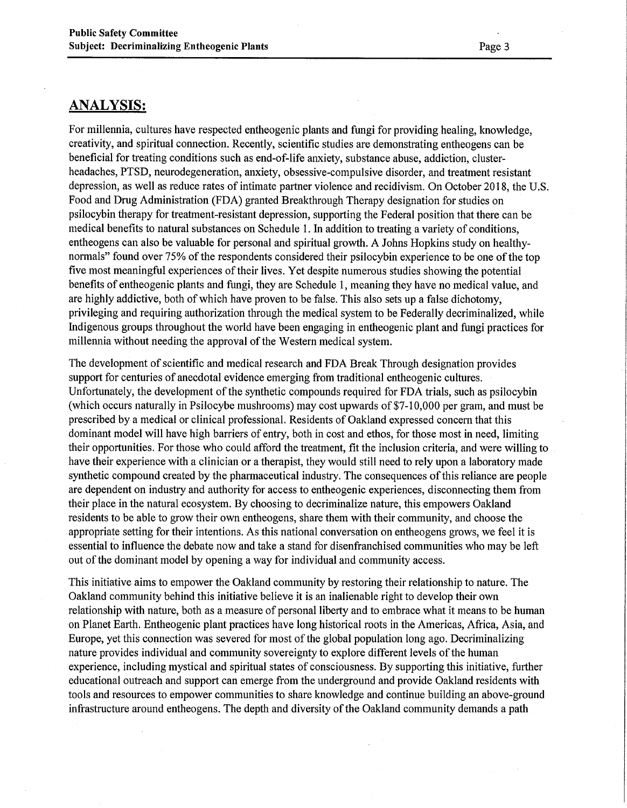## ANALYSIS:

For millennia, cultures have respected entheogenic plants and fungi for providing healing, knowledge, creativity, and spiritual connection. Recently, scientific studies are demonstrating entheogens can be beneficial for treating conditions such as end-of-life anxiety, substance abuse, addiction, clusterheadaches, PTSD, neurodegeneration, anxiety, obsessive-compulsive disorder, and treatment resistant depression, as well as reduce rates of intimate partner violence and recidivism. On October 2018, the U.S. Food and Drug Administration (FDA) granted Breakthrough Therapy designation for studies on psilocybin therapy for treatment-resistant depression, supporting the Federal position that there can be medical benefits to natural substances on Schedule 1. In addition to treating a variety of conditions, entheogens can also be valuable for personal and spiritual growth. A Johns Hopkins study on healthynormals" found over 75% of the respondents considered their psilocybin experience to be one of the top five most meaningful experiences oftheir lives. Yet despite numerous studies showing the potential benefits of entheogenic plants and fungi, they are Schedule 1, meaning they have no medical value, and are highly addictive, both of which have proven to be false. This also sets up a false dichotomy, privileging and requiring authorization through the medical system to be Federally decriminalized, while Indigenous groups throughout the world have been engaging in entheogenic plant and fungi practices for millennia without needing the approval of the Western medical system.

The development of scientific and medical research and FDA Break Through designation provides support for centuries of anecdotal evidence emerging from traditional entheogenic cultures. Unfortunately, the development of the synthetic compounds required for FDA trials, such as psilocybin (which occurs naturally in Psilocybe mushrooms) may cost upwards of \$7-10,000 per gram, and must be prescribed by a medical or clinical professional. Residents of Oakland expressed concern that this dominant model will have high barriers of entry, both in cost and ethos, for those most in need, limiting their opportunities. For those who could afford the treatment, fit the inclusion criteria, and were willing to have their experience with a clinician or a therapist, they would still need to rely upon a laboratory made synthetic compound created by the pharmaceutical industry. The consequences ofthis reliance are people are dependent on industry and authority for access to entheogenic experiences, disconnecting them from their place in the natural ecosystem. By choosing to decriminalize nature, this empowers Oakland residents to be able to grow their own entheogens, share them with their community, and choose the appropriate setting for their intentions. As this national conversation on entheogens grows, we feel it is essential to influence the debate now and take a stand for disenfranchised communities who may be left out ofthe dominant model by opening a way for individual and community access.

This initiative aims to empower the Oakland community by restoring their relationship to nature. The Oakland community behind this initiative believe it is an inalienable right to develop their own relationship with nature, both as a measure of personal liberty and to embrace what it means to be human on Planet Earth. Entheogenic plant practices have long historical roots in the Americas, Africa, Asia, and Europe, yet this connection was severed for most of the global population long ago. Decriminalizing nature provides individual and community sovereignty to explore different levels of the human experience, including mystical and spiritual states of consciousness. By supporting this initiative, further educational outreach and support can emerge from the underground and provide Oakland residents with tools and resources to empower communities to share knowledge and continue building an above-ground infrastructure around entheogens. The depth and diversity of the Oakland community demands a path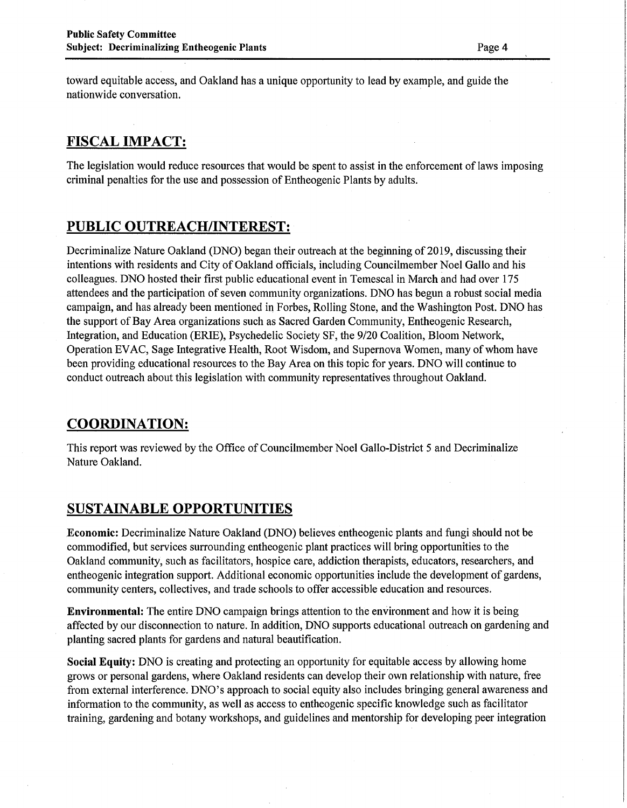toward equitable access, and Oakland has a unique opportunity to lead by example, and guide the nationwide conversation.

## FISCAL IMPACT;

The legislation would reduce resources that would be spent to assist in the enforcement of laws imposing criminal penalties for the use and possession of Entheogenic Plants by adults.

## PUBLIC OUTREACH/INTEREST:

Decriminalize Nature Oakland (DNO) began their outreach at the beginning of 2019, discussing their intentions with residents and City of Oakland officials, including Councilmember Noel Gallo and his colleagues. DNO hosted their first public educational event in Temescal in March and had over 175 attendees and the participation of seven community organizations. DNO has begun a robust social media campaign, and has already been mentioned in Forbes, Rolling Stone, and the Washington Post. DNO has the support of Bay Area organizations such as Sacred Garden Community, Entheogenic Research, Integration, and Education (ERIE), Psychedelic Society SF, the 9/20 Coalition, Bloom Network, Operation EVAC, Sage Integrative Health, Root Wisdom, and Supernova Women, many ofwhom have been providing educational resources to the Bay Area on this topic for years. DNO will continue to conduct outreach about this legislation with community representatives throughout Oakland.

## COORDINATION:

This report was reviewed by the Office of Councilmember Noel Gallo-District 5 and Decriminalize Nature Oakland.

## SUSTAINABLE OPPORTUNITIES

**Economic:** Decriminalize Nature Oakland (DNO) believes entheogenic plants and fungi should not be commodified, but services surrounding entheogenic plant practices will bring opportunities to the Oakland community, such as facilitators, hospice care, addiction therapists, educators, researchers, and entheogenic integration support. Additional economic opportunities include the development of gardens, community centers, collectives, and trade schools to offer accessible education and resources.

**Environmental:** The entire DNO campaign brings attention to the environment and how it is being affected by our disconnection to nature. In addition, DNO supports educational outreach on gardening and planting sacred plants for gardens and natural beautification.

**Social Equity:** DNO is creating and protecting an opportunity for equitable access by allowing home grows or personal gardens, where Oakland residents can develop their own relationship with nature, free from external interference. DNO's approach to social equity also includes bringing general awareness and information to the community, as well as access to entheogenic specific knowledge such as facilitator training, gardening and botany workshops, and guidelines and mentorship for developing peer integration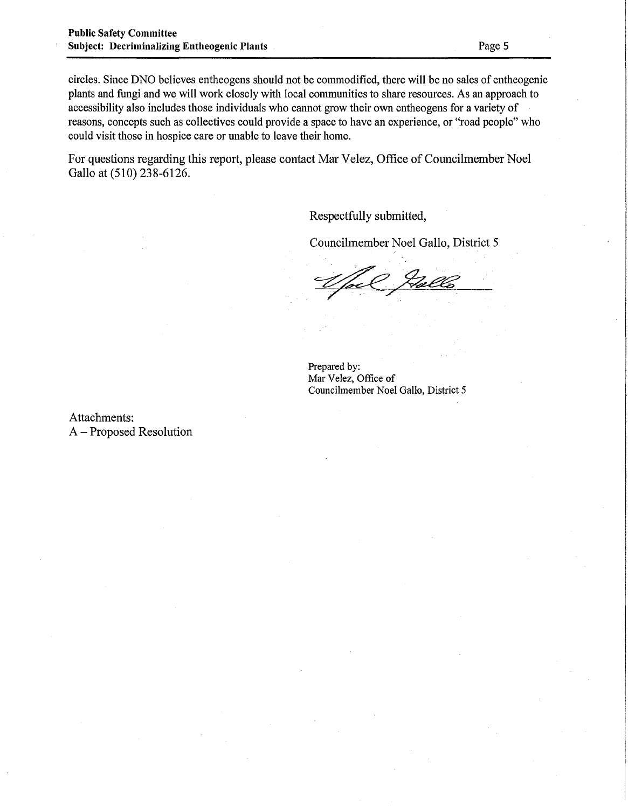circles. Since DNO believes entheogens should not be commodified, there will be no sales of entheogenic plants and fungi and we will work closely with local communities to share resources. As an approach to accessibility also includes those individuals who cannot grow their own entheogens for a variety of reasons, concepts such as collectives could provide a space to have an experience, or "road people" who could visit those in hospice care or unable to leave their home.

For questions regarding this report, please contact Mar Velez, Office of Councilmember Noel Gallo at (510) 238-6126.

Respectfully submitted,

Councilmember Noel Gallo, District 5

Prepared by: Mar Velez, Office of Councilmember Noel Gallo, District 5

Attachments: <sup>A</sup> - Proposed Resolution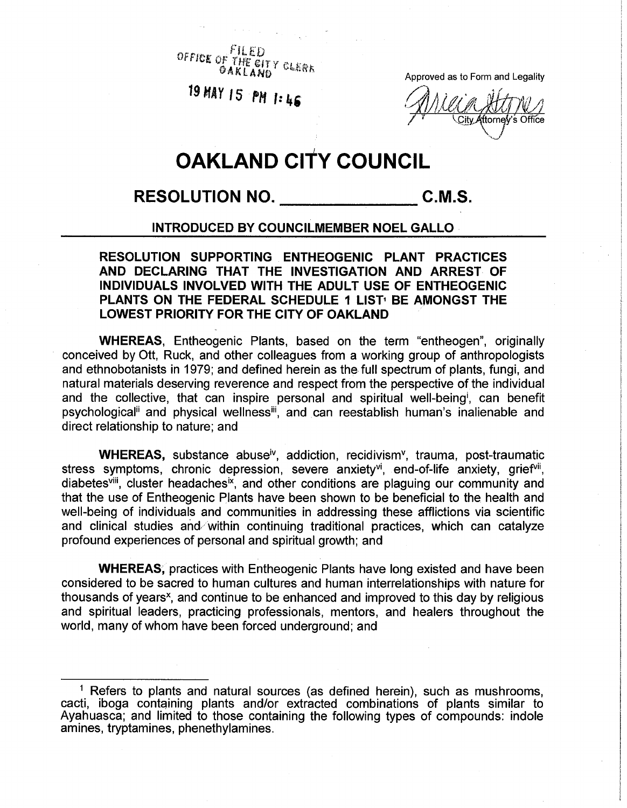FILED OFFICE OF THE CITY CLERK *DAKLAND* 

*19my is Uks*

Approved as to Form and Legality

*/* <sup>7</sup> ^Qjty^ftornjV's Office

## **OAKLAND CITY COUNCIL**

## **RESOLUTION NO. C.M.S.**

#### **INTRODUCED BY COUNCILMEMBER NOEL GALLO**

#### **RESOLUTION SUPPORTING ENTHEOGENIC PLANT PRACTICES AND DECLARING THAT THE INVESTIGATION AND ARREST OF INDIVIDUALS INVOLVED WITH THE ADULT USE OF ENTHEOGENIC PLANTS ON THE FEDERAL SCHEDULE <sup>1</sup> LIST' BE AMONGST THE LOWEST PRIORITY FOR THE CITY OF OAKLAND**

**WHEREAS,** Entheogenic Plants, based on the term "entheogen", originally conceived by Ott, Ruck, and other colleagues from a working group of anthropologists and ethnobotanists in 1979; and defined herein as the full spectrum of plants, fungi, and natural materials deserving reverence and respect from the perspective of the individual and the collective, that can inspire personal and spiritual well-being', can benefit psychological" and physical wellness"', and can reestablish human's inalienable and direct relationship to nature; and

WHEREAS, substance abuse<sup>iv</sup>, addiction, recidivism<sup>v</sup>, trauma, post-traumatic stress symptoms, chronic depression, severe anxiety<sup>vi</sup>, end-of-life anxiety, grief<sup>vii</sup>, diabetes<sup>viii</sup>, cluster headaches<sup>ix</sup>, and other conditions are plaguing our community and that the use of Entheogenic Plants have been shown to be beneficial to the health and well-being of individuals and communities in addressing these afflictions via scientific and clinical studies and within continuing traditional practices, which can catalyze profound experiences of personal and spiritual growth; and

**WHEREAS,** practices with Entheogenic Plants have long existed and have been considered to be sacred to human cultures and human interrelationships with nature for thousands of years<sup>x</sup>, and continue to be enhanced and improved to this day by religious and spiritual leaders, practicing professionals, mentors, and healers throughout the world, many of whom have been forced underground; and

**<sup>1</sup>** Refers to plants and natural sources (as defined herein), such as mushrooms, cacti, iboga containing plants and/or extracted combinations of plants similar to Ayahuasca; and limited to those containing the following types of compounds: indole amines, tryptamines, phenethylamines.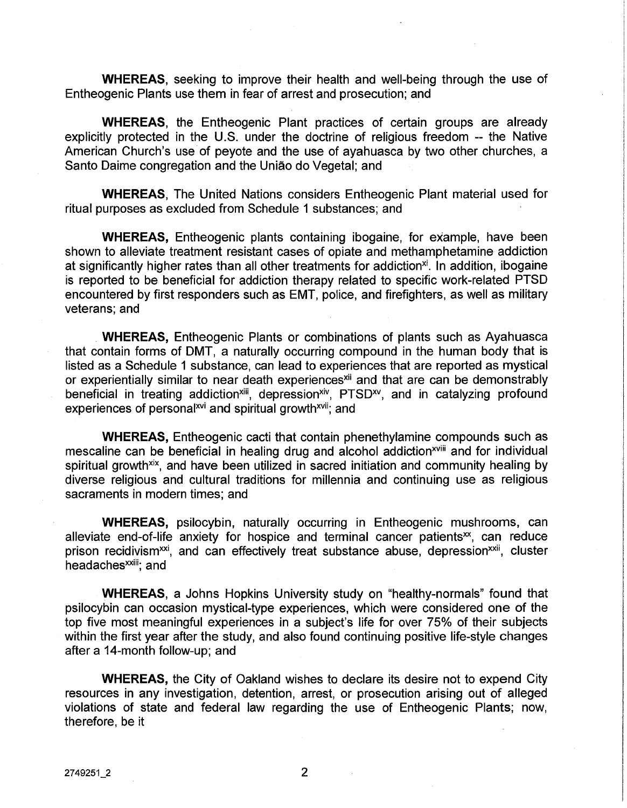**WHEREAS,** seeking to improve their health and well-being through the use of Entheogenic Plants use them in fear of arrest and prosecution; and

**WHEREAS,** the Entheogenic Plant practices of certain groups are already explicitly protected in the U.S. under the doctrine of religious freedom -- the Native American Church's use of peyote and the use of ayahuasca by two other churches, a Santo Daime congregation and the Uniao do Vegetal; and

**WHEREAS,** The United Nations considers Entheogenic Plant material used for ritual purposes as excluded from Schedule <sup>1</sup> substances; and

**WHEREAS,** Entheogenic plants containing ibogaine, for example, have been shown to alleviate treatment resistant cases of opiate and methamphetamine addiction at significantly higher rates than all other treatments for addiction<sup>xi</sup>. In addition, ibogaine is reported to be beneficial for addiction therapy related to specific work-related PTSD encountered by first responders such as EMT, police, and firefighters, as well as military veterans; and

**WHEREAS,** Entheogenic Plants or combinations of plants such as Ayahuasca that contain forms of DMT, a naturally occurring compound in the human body that is listed as a Schedule <sup>1</sup> substance, can lead to experiences that are reported as mystical or experientially similar to near death experiences<sup>xii</sup> and that are can be demonstrably beneficial in treating addiction<sup>xiii</sup>, depression<sup>xiv</sup>, PTSD<sup>xv</sup>, and in catalyzing profound experiences of personal<sup>xvi</sup> and spiritual growth<sup>xvii</sup>; and

**WHEREAS,** Entheogenic cacti that contain phenethylamine compounds such as mescaline can be beneficial in healing drug and alcohol addiction<sup>xviii</sup> and for individual spiritual growth<sup>xix</sup>, and have been utilized in sacred initiation and community healing by diverse religious and cultural traditions for millennia and continuing use as religious sacraments in modern times; and

**WHEREAS,** psilocybin, naturally occurring in Entheogenic mushrooms, can alleviate end-of-life anxiety for hospice and terminal cancer patients™, can reduce prison recidivism<sup>xxi</sup>, and can effectively treat substance abuse, depression<sup>xxii</sup>, cluster headaches<sup>xxiii</sup>; and

**WHEREAS,** a Johns Hopkins University study on "healthy-normals" found that psilocybin can occasion mystical-type experiences, which were considered one of the top five most meaningful experiences in a subject's life for over 75% of their subjects within the first year after the study, and also found continuing positive life-style changes after a 14-month follow-up; and

**WHEREAS,** the City of Oakland wishes to declare its desire not to expend City resources in any investigation, detention, arrest, or prosecution arising out of alleged violations of state and federal law regarding the use of Entheogenic Plants; now, therefore, be it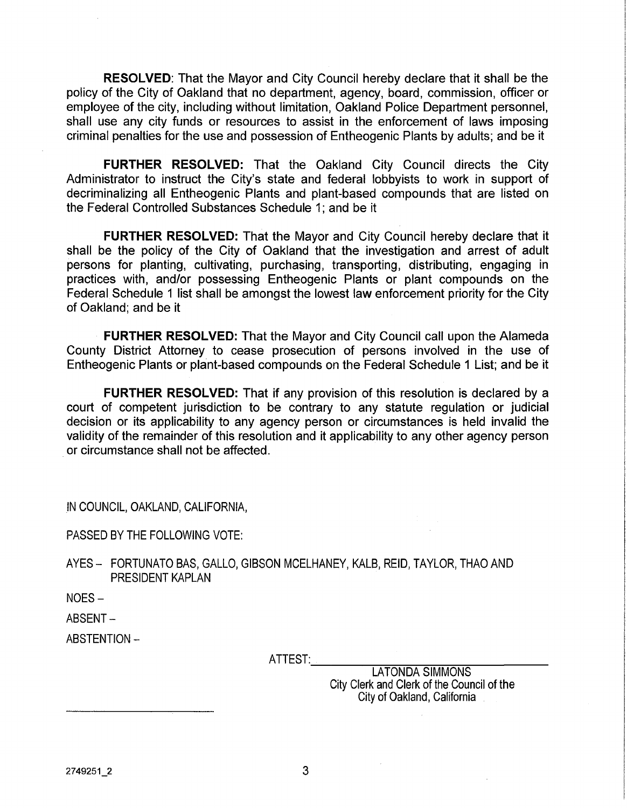**RESOLVED:** That the Mayor and City Council hereby declare that it shall be the policy of the City of Oakland that no department, agency, board, commission, officer or employee of the city, including without limitation, Oakland Police Department personnel, shall use any city funds or resources to assist in the enforcement of laws imposing criminal penalties for the use and possession of Entheogenic Plants by adults; and be it

**FURTHER RESOLVED:** That the Oakland City Council directs the City Administrator to instruct the City's state and federal lobbyists to work in support of decriminalizing all Entheogenic Plants and plant-based compounds that are listed on the Federal Controlled Substances Schedule 1; and be it

**FURTHER RESOLVED:** That the Mayor and City Council hereby declare that it shall be the policy of the City of Oakland that the investigation and arrest of adult persons for planting, cultivating, purchasing, transporting, distributing, engaging in practices with, and/or possessing Entheogenic Plants or plant compounds on the Federal Schedule <sup>1</sup> list shall be amongst the lowest law enforcement priority for the City of Oakland; and be it

**FURTHER RESOLVED:** That the Mayor and City Council call upon the Alameda County District Attorney to cease prosecution of persons involved in the use of Entheogenic Plants or plant-based compounds on the Federal Schedule <sup>1</sup> List; and be it

**FURTHER RESOLVED:** That if any provision of this resolution is declared by a court of competent jurisdiction to be contrary to any statute regulation or judicial decision or its applicability to any agency person or circumstances is held invalid the validity of the remainder of this resolution and it applicability to any other agency person or circumstance shall not be affected.

IN COUNCIL, OAKLAND, CALIFORNIA,

PASSED BY THE FOLLOWING VOTE:

AYES - FORTUNATO BAS, GALLO, GIBSON MCELHANEY, KALB, REID, TAYLOR, THAO AND PRESIDENT KAPLAN

NOES-

ABSENT-

ABSTENTION -

ATTEST:

LATONDA SIMMONS City Clerk and Clerk of the Council of the City of Oakland, California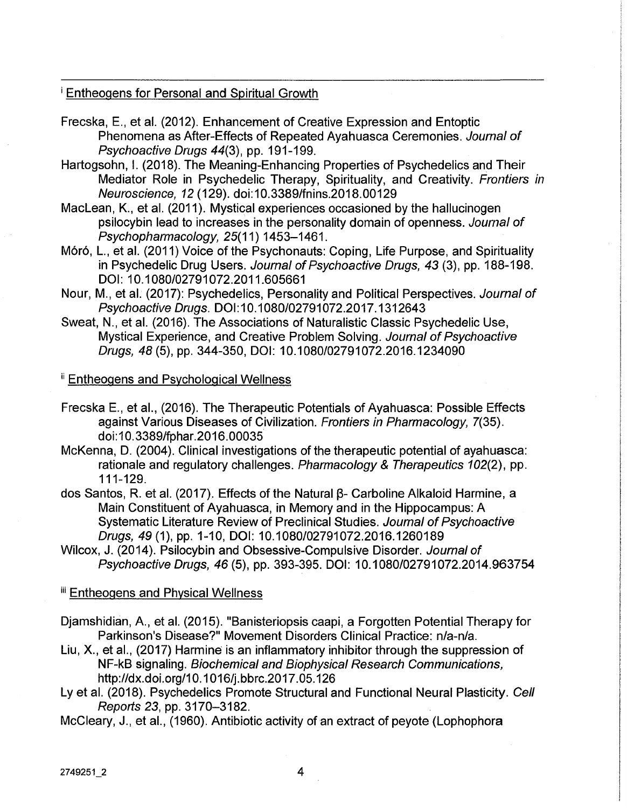### Entheoqens for Personal and Spiritual Growth

- Frecska, E., et al. (2012). Enhancement of Creative Expression and Entoptic Phenomena as After-Effects of Repeated Ayahuasca Ceremonies. *Journal of Psychoactive Drugs 44(3),* pp. 191-199.
- Hartogsohn, I. (2018). The Meaning-Enhancing Properties of Psychedelics and Their Mediator Role in Psychedelic Therapy, Spirituality, and Creativity. *Frontiers in Neuroscience, 12 (*129). doi:10.3389/fnins.2018.00129

**1**

- MacLean, K., et al. (2011). Mystical experiences occasioned by the hallucinogen psilocybin lead to increases in the personality domain of openness. *Journal of Psychopharmacology,* 25(11)1453-1461.
- Móró, L., et al. (2011) Voice of the Psychonauts: Coping, Life Purpose, and Spirituality in Psychedelic Drug Users. *Journal ofPsychoactive Drugs, 43* (3), pp. 188-198. DOI: 10.1080/02791072.2011.605661
- Nour, M., etal. (2017): Psychedelics, Personality and Political Perspectives. *Journal of Psychoactive Drugs.* D0l:10.1080/02791072.2017.1312643
- Sweat, N., et al. (2016). The Associations of Naturalistic Classic Psychedelic Use, Mystical Experience, and Creative Problem Solving. Journal of Psychoactive *Drugs, 48(5),* pp. 344-350, DOI: 10.1080/02791072.2016.1234090

#### ii Entheoqens and Psychological Wellness

- Frecska E., et al., (2016). The Therapeutic Potentials of Ayahuasca: Possible Effects against Various Diseases of Civilization. *Frontiers in Pharmacology,* 7(35). doi: 10.3389/fphar.2016.00035
- McKenna, D. (2004). Clinical investigations of the therapeutic potential of ayahuasca: rationale and regulatory challenges. *Pharmacology & Therapeutics 102(2),* pp. 111-129.
- dos Santos, R. et al. (2017). Effects of the Natural  $\beta$  Carboline Alkaloid Harmine, a Main Constituent of Ayahuasca, in Memory and in the Hippocampus: A Systematic Literature Review of Preclinical Studies. Journal of Psychoactive *Drugs,* 49(1), pp. 1-10, DOI: 10.1080/02791072.2016.1260189
- Wilcox, J. (2014). Psilocybin and Obsessive-Compulsive Disorder. *Journal of Psychoactive Drugs, 46(5),* pp. 393-395. DOI: 10.1080/02791072.2014.963754

## **ii** Entheogens and Physical Wellness

- Djamshidian, A., et al. (2015). "Banisteriopsis caapi, a Forgotten Potential Therapy for Parkinson's Disease?" Movement Disorders Clinical Practice: n/a-n/a.
- Liu, X., et al., (2017) Harmine is an inflammatory inhibitor through the suppression of NF-kB signaling. *Biochemical and Biophysical Research Communications,* <http://dx.doi.Org/10.1016/j.bbrc.2017.05.126>
- Ly et al. (2018). Psychedelics Promote Structural and Functional Neural Plasticity. *Cell Reports 23,* pp. 3170-3182.
- McCleary, J., et al., (1960). Antibiotic activity of an extract of peyote (Lophophora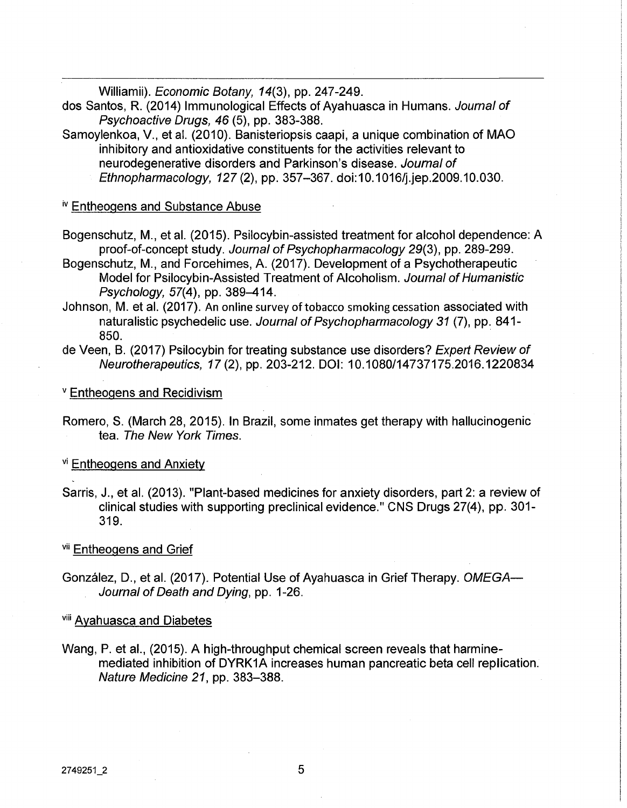Williamii). *Economic Botany, 14(3),* pp. 247-249.

- dos Santos, R. (2014) Immunological Effects of Ayahuasca in Humans. *Journal of Psychoactive Drugs, 46* (5), pp. 383-388.
- Samoylenkoa, V., et al. (2010). Banisteriopsis caapi, a unique combination of MAO inhibitory and antioxidative constituents for the activities relevant to neurodegenerative disorders and Parkinson's disease. *Journal of Ethnopharmacology, 127* (2), pp. 357-367. doi:10.1016/j.jep.2009.10.030.

#### iv Entheoqens and Substance Abuse

- Bogenschutz, M., et al. (2015). Psilocybin-assisted treatment for alcohol dependence: A proof-of-concept study. *Journal ofPsychopharmacology 29(3),* pp. 289-299.
- Bogenschutz, M., and Forcehimes, A. (2017). Development of a Psychotherapeutic Model for Psilocybin-Assisted Treatment of Alcoholism. Journal of Humanistic *Psychology,* 57(4), pp. 389-414.
- Johnson, M. et al. (2017). An online survey of tobacco smoking cessation associated with naturalistic psychedelic use. *Journal of Psychopharmacology* 31 (7), pp. 841-850.
- de Veen, B. (2017) Psilocybin for treating substance use disorders? *Expert Review of Neurotherapeutics, 17(2),* pp. 203-212. DOI: 10.1080/14737175.2016.1220834

#### <sup>v</sup> Entheoqens and Recidivism

Romero, S. (March 28, 2015). In Brazil, some inmates get therapy with hallucinogenic tea. *The New York Times.*

#### vi Entheoqens and Anxiety

Sarris, J., et al. (2013). "Plant-based medicines for anxiety disorders, part 2: a review of clinical studies with supporting preclinical evidence." CNS Drugs 27(4), pp. 301- 319.

#### vii Entheogens and Grief

Gonzalez, D., et al. (2017). Potential Use of Ayahuasca in Grief Therapy. *OMEGA*— *Journal of Death and Dying,* pp. <sup>1</sup> -26.

#### **viii Ayahuasca and Diabetes**

Wang, P. et al., (2015). A high-throughput chemical screen reveals that harminemediated inhibition of DYRK1A increases human pancreatic beta cell replication. *Nature Medicine 21,* pp. 383-388.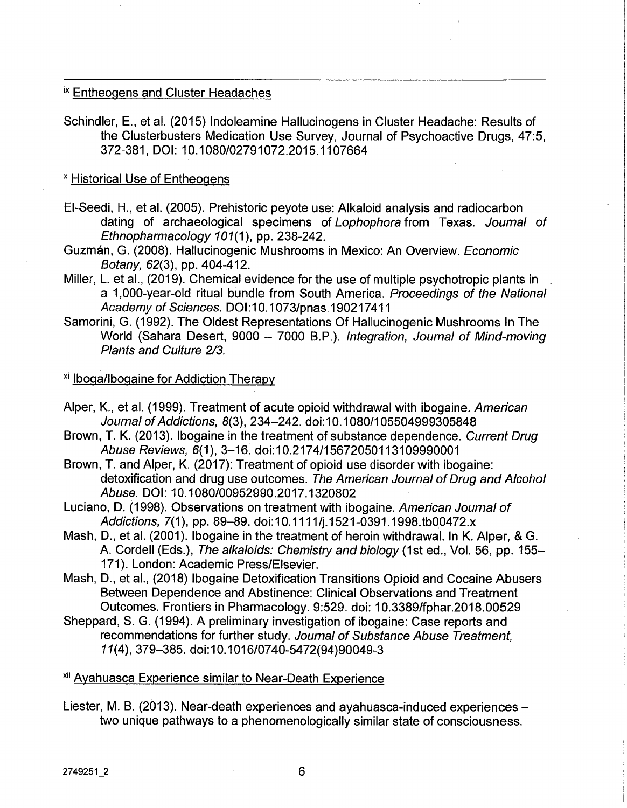#### ix Entheogens and Cluster Headaches

Schindler, E., et al. (2015) Indoleamine Hallucinogens in Cluster Headache: Results of the Clusterbusters Medication Use Survey, Journal of Psychoactive Drugs, 47:5 372-381, DOI: 10.1080/02791072.2015.1107664

#### <sup>x</sup> Historical Use of Entheoqens

- El-Seedi, H., et al. (2005). Prehistoric peyote use: Alkaloid analysis and radiocarbon dating of archaeological specimens of *Lophophora* from Texas. *Journal of Ethnopharmacology* 107(1), pp. 238-242.
- Guzman, G. (2008). Hallucinogenic Mushrooms in Mexico: An Overview. *Economic Botany,* 62(3), pp. 404-412.
- Miller, L. et al., (2019). Chemical evidence for the use of multiple psychotropic plants in a 1,000-year-old ritual bundle from South America. *Proceedings of the National Academy of Sciences.* DOI :10.1073/pnas. 190217411
- Samorini, G. (1992). The Oldest Representations Of Hallucinogenic Mushrooms In The World (Sahara Desert, <sup>9000</sup> - <sup>7000</sup> B.P.). *Integration, Journal of Mind-moving Plants and Culture 2/3.*

#### xi Iboga/lbogaine for Addiction Therapy

- Alper, K., et al. (1999). Treatment of acute opioid withdrawal with ibogaine. *American Journal ofAddictions,* 8(3), 234-242. doi:10.1080/105504999305848
- Brown, T. K. (2013). Ibogaine in the treatment of substance dependence. *Current Drug Abuse Reviews,* 6(1), 3-16. doi: 10.2174/15672050113109990001
- Brown, T. and Alper, K. (2017): Treatment of opioid use disorder with ibogaine: detoxification and drug use outcomes. *The American Journal ofDrug and Alcohol Abuse.* DOI: 10.1080/00952990.2017.1320802
- Luciano, D. (1998). Observations on treatment with ibogaine. *American Journal of Addictions,* 7(1), pp. 89-89. doi:10.1111/j.1521-0391.1998.tb00472.x
- Mash, D., et al. (2001). Ibogaine in the treatment of heroin withdrawal. In K. Alper, & G. A. Cordell (Eds.), *The alkaloids: Chemistry and biology* (1st ed., Vol. 56, pp. 155— 171). London: Academic Press/Elsevier.
- Mash, D., et al., (2018) Ibogaine Detoxification Transitions Opioid and Cocaine Abusers Between Dependence and Abstinence: Clinical Observations and Treatment Outcomes. Frontiers in Pharmacology. 9:529. doi: 10.3389/fphar.2018.00529
- Sheppard, S. G. (1994). A preliminary investigation of ibogaine: Case reports and recommendations for further study. *Journal of Substance Abuse Treatment,* 77(4), 379-385. doi: 10.1016/0740-5472(94)90049-3

## xii Avahuasca Experience similar to Near-Death Experience

Liester, M. B. (2013). Near-death experiences and ayahuasca-induced experiencestwo unique pathways to a phenomenologically similar state of consciousness.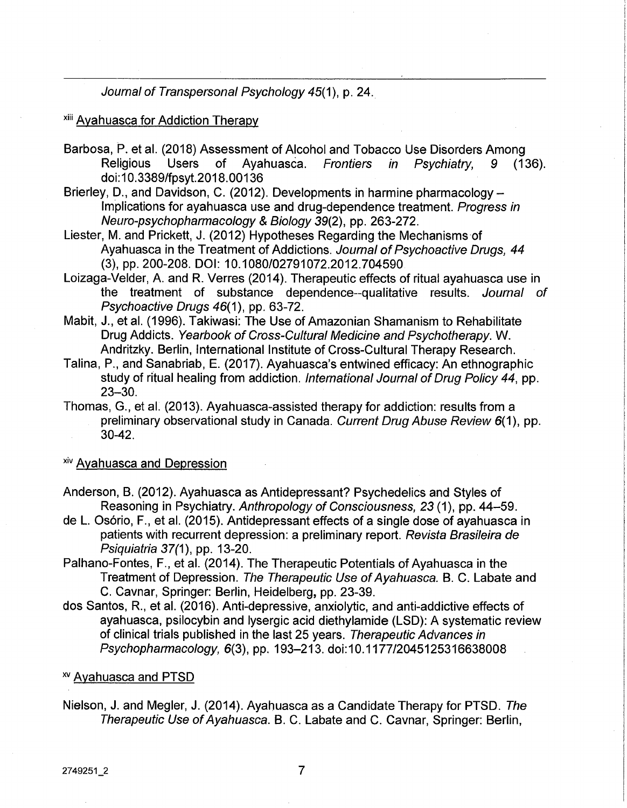*Journal of Transpersonal Psychology* 45(1), p. 24.

#### xiii Avahuasca for Addiction Therapy

- Barbosa, P. et al. (2018) Assessment of Alcohol and Tobacco Use Disorders Among<br>Religious Users of Ayahuasca. *Frontiers in Psychiatry*, 9 (136). Religious Users of Ayahuasca. *Frontiers in Psychiatry, 9* (136). doi:10.3389/fpsyt.2018.00136
- Brierley, D., and Davidson, C. (2012). Developments in harmine pharmacology -Implications for ayahuasca use and drug-dependence treatment. *Progress in Neuro-psychopharmacology & Biology 39(2),* pp. 263-272.
- Liester, M. and Prickett, J. (2012) Hypotheses Regarding the Mechanisms of Ayahuasca in the Treatment of Addictions. *Journal ofPsychoactive Drugs, 44* (3), pp. 200-208. DOI: 10.1080/02791072.2012.704590
- Loizaga-Velder, A. and R. Verres (2014). Therapeutic effects of ritual ayahuasca use in<br>the treatment of substance dependence--qualitative results. Journal of the treatment of substance dependence--qualitative results. *Psychoactive Drugs* 46(1), pp. 63-72.
- Mabit, J., et al. (1996). Takiwasi: The Use of Amazonian Shamanism to Rehabilitate Drug Addicts. *Yearbook of Cross-Cultural Medicine and Psychotherapy.* W. Andritzky. Berlin, International Institute of Cross-Cultural Therapy Research.
- Talina, P., and Sanabriab, E. (2017). Ayahuasca's entwined efficacy: An ethnographic study of ritual healing from addiction. *International Journal ofDrug Policy 44,* pp. 23-30.
- Thomas, G., et al. (2013). Ayahuasca-assisted therapy for addiction: results from a preliminary observational study in Canada. *Current Drug Abuse Review* 6(1), pp. 30-42.

#### **xiv Ayahuasca and Depression**

- Anderson, B. (2012). Ayahuasca as Antidepressant? Psychedelics and Styles of Reasoning in Psychiatry. *Anthropology of Consciousness,* 23(1), pp. 44-59.
- de L. Osório, F., et al. (2015). Antidepressant effects of a single dose of ayahuasca in patients with recurrent depression: a preliminary report. *Revista Brasileira de Psiquiatria 37(*1), pp. 13-20.
- Palhano-Fontes, F., et al. (2014). The Therapeutic Potentials of Ayahuasca in the Treatment of Depression. *The Therapeutic Use ofAyahuasca.* B. C. Labate and C. Cavnar, Springer: Berlin, Heidelberg, pp. 23-39.
- dos Santos, R., et al. (2016). Anti-depressive, anxiolytic, and anti-addictive effects of ayahuasca, psilocybin and lysergic acid diethylamide (LSD): A systematic review of clinical trials published in the last 25 years. *Therapeutic Advances in Psychopharmacology,* 6(3), pp. 193-213. doi:10.1177/2045125316638008

#### w Avahuasca and PTSD

Nielson, J. and Megler, J. (2014). Ayahuasca as a Candidate Therapy for PTSD. *The Therapeutic Use ofAyahuasca.* B. C. Labate and C. Cavnar, Springer: Berlin,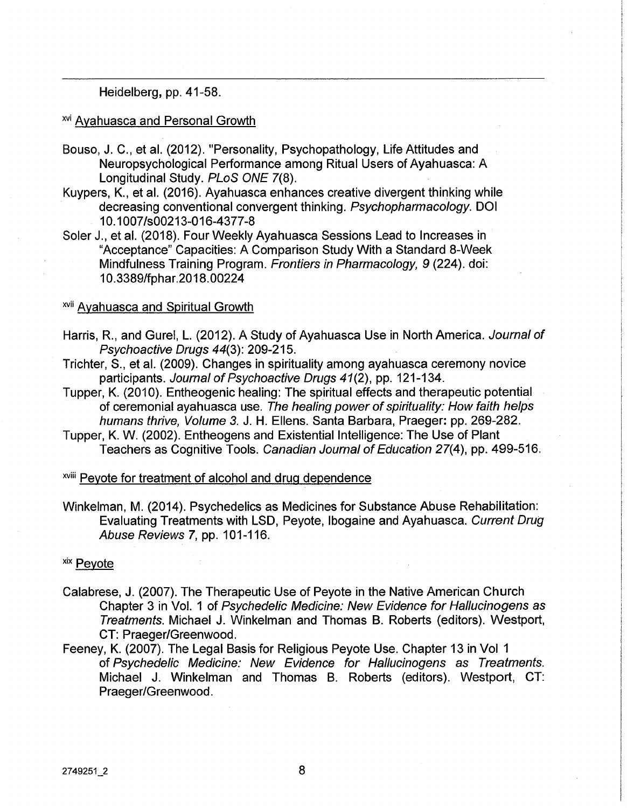#### Heidelberg, pp. 41-58.

#### <sup>xvi</sup> Ayahuasca and Personal Growth

- Bouso, J. C., et al. (2012). "Personality, Psychopathology, Life Attitudes and Neuropsychological Performance among Ritual Users of Ayahuasca: A Longitudinal Study. *PLoS ONE* 7(8).
- Kuypers, K., et al. (2016). Ayahuasca enhances creative divergent thinking while decreasing conventional convergent thinking. *Psychopharmacology.* DOI 10.1007/S00213-016-4377-8
- Soler J., et al. (2018). Four Weekly Ayahuasca Sessions Lead to Increases in "Acceptance" Capacities: A Comparison Study With a Standard 8-Week Mindfulness Training Program. *Frontiers in Pharmacology, 9* (224). doi: 10.3389/fphar.2018.00224

#### **xvii Ayahuasca and Spiritual Growth**

- Harris, R., and Gurel, L. (2012). A Study of Ayahuasca Use in North America. *Journal of Psychoactive Drugs 44(3):* 209-215.
- Trichter, S., et al. (2009). Changes in spirituality among ayahuasca ceremony novice participants. *Journal ofPsychoactive Drugs 41(2),* pp. 121-134.
- Tupper, K. (2010). Entheogenic healing: The spiritual effects and therapeutic potential of ceremonial ayahuasca use. *The healing power of spirituality: How faith helps humans thrive, Volume 3.* J. H. Ellens. Santa Barbara, Praeger: pp. 269-282.
- Tupper, K. W. (2002). Entheogens and Existential Intelligence: The Use of Plant Teachers as Cognitive Tools. *Canadian Journal ofEducation* 27(4), pp. 499-516.

#### xviii Peyote for treatment of alcohol and drug dependence

Winkelman, M. (2014). Psychedelics as Medicines for Substance Abuse Rehabilitation: Evaluating Treatments with LSD, Peyote, Ibogaine and Ayahuasca. *Current Drug Abuse Reviews* 7, pp. 101-116.

#### xix Peyote

- Calabrese, J. (2007). The Therapeutic Use of Peyote in the Native American Church Chapter 3 in Vol. <sup>1</sup> of *Psychedelic Medicine: New Evidence for Hallucinogens as Treatments.* Michael J. Winkelman and Thomas B. Roberts (editors). Westport, CT: Praeger/Greenwood.
- Feeney, K. (2007). The Legal Basis for Religious Peyote Use. Chapter 13 in Vol <sup>1</sup> of *Psychedelic Medicine: New Evidence for Hallucinogens as Treatments.* Michael J. Winkelman and Thomas B. Roberts (editors). Westport, CT: Praeger/Greenwood.